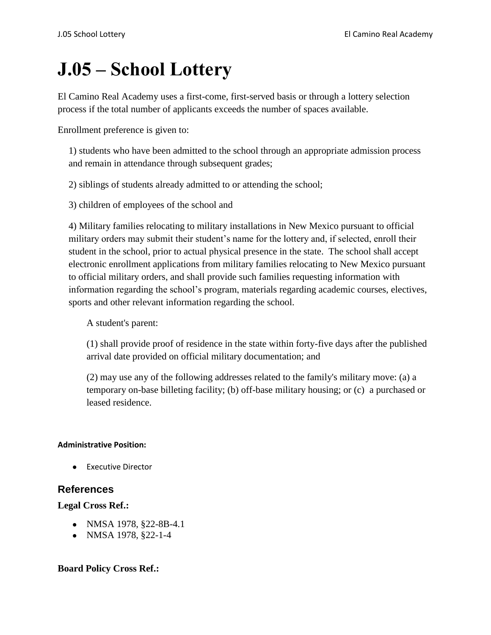# **J.05 – School Lottery**

El Camino Real Academy uses a first-come, first-served basis or through a lottery selection process if the total number of applicants exceeds the number of spaces available.

Enrollment preference is given to:

1) students who have been admitted to the school through an appropriate admission process and remain in attendance through subsequent grades;

2) siblings of students already admitted to or attending the school;

3) children of employees of the school and

4) Military families relocating to military installations in New Mexico pursuant to official military orders may submit their student's name for the lottery and, if selected, enroll their student in the school, prior to actual physical presence in the state. The school shall accept electronic enrollment applications from military families relocating to New Mexico pursuant to official military orders, and shall provide such families requesting information with information regarding the school's program, materials regarding academic courses, electives, sports and other relevant information regarding the school.

A student's parent:

(1) shall provide proof of residence in the state within forty-five days after the published arrival date provided on official military documentation; and

(2) may use any of the following addresses related to the family's military move: (a) a temporary on-base billeting facility; (b) off-base military housing; or (c) a purchased or leased residence.

### **Administrative Position:**

● Executive Director

## **References**

### **Legal Cross Ref.:**

- NMSA 1978, §22-8B-4.1
- NMSA 1978, §22-1-4

## **Board Policy Cross Ref.:**